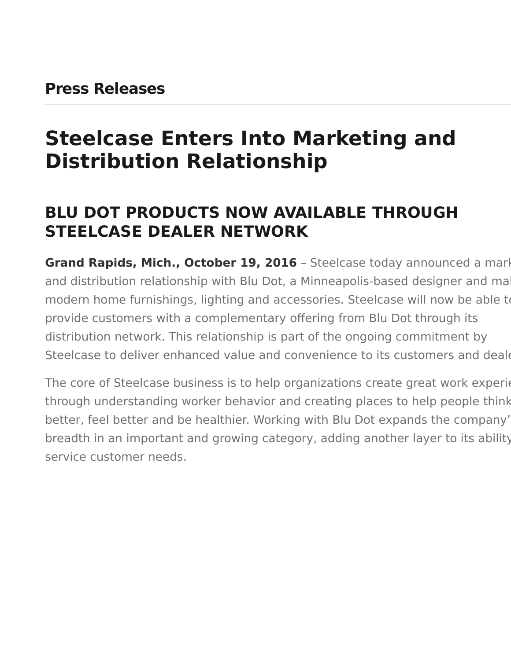### <span id="page-0-0"></span>**Press Releases**

# **Steelcase Enters Into Marketing and Distribution Relationship**

# **BLU DOT PRODUCTS NOW AVAILABLE THROUGH STEELCASE DEALER NETWORK**

Grand Rapids, Mich., October 19, 2016 - Steelcase today announced a mark and distribution relationship with Blu Dot, a Minneapolis-based designer and ma modern home furnishings, lighting and accessories. Steelcase will now be able to provide customers with a complementary offering from Blu Dot through its distribution network. This relationship is part of the ongoing commitment by Steelcase to deliver enhanced value and convenience to its customers and dealer

The core of Steelcase business is to help organizations create great work experiences through understanding worker behavior and creating places to help people think better, feel better and be healthier. Working with Blu Dot expands the company' breadth in an important and growing category, adding another layer to its ability service customer needs.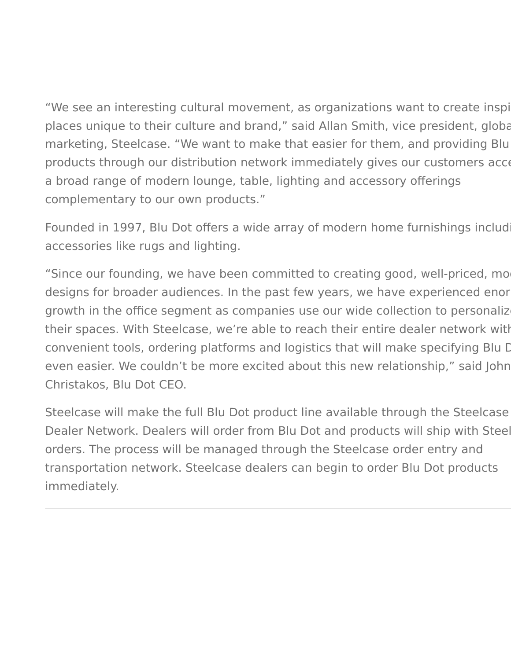"We see an interesting cultural movement, as organizations want to create inspi places unique to their culture and brand," said Allan Smith, vice president, global marketing, Steelcase. "We want to make that easier for them, and providing Blu products through our distribution network immediately gives our customers acce a broad range of modern lounge, table, lighting and accessory offerings complementary to our own products."

Founded in 1997, Blu Dot offers a wide array of modern home furnishings includ accessories like rugs and lighting.

"Since our founding, we have been committed to creating good, well-priced, mo designs for broader audiences. In the past few years, we have experienced enor growth in the office segment as companies use our wide collection to personalize their spaces. With Steelcase, we're able to reach their entire dealer network with convenient tools, ordering platforms and logistics that will make specifying Blu Dot even easier. We couldn't be more excited about this new relationship," said John Christakos, Blu Dot CEO.

Steelcase will make the full Blu Dot product line available through the Steelcase Dealer Network. Dealers will order from Blu Dot and products will ship with Steel orders. The process will be managed through the Steelcase order entry and transportation network. Steelcase dealers can begin to order Blu Dot products immediately.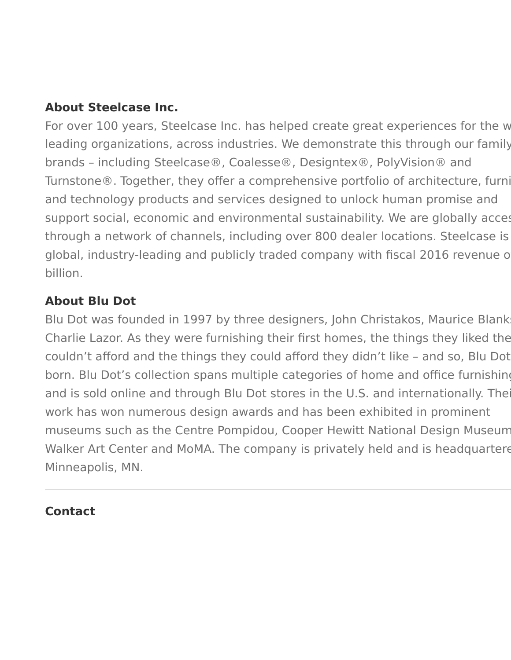#### **About Steelcase Inc.**

For over 100 years, Steelcase Inc. has helped create great experiences for the w leading organizations, across industries. We demonstrate this through our family brands – including Steelcase®, Coalesse®, Designtex®, PolyVision® and Turnstone®. Together, they offer a comprehensive portfolio of architecture, furni and technology products and services designed to unlock human promise and support social, economic and environmental sustainability. We are globally accest through a network of channels, including over 800 dealer locations. Steelcase is global, industry-leading and publicly traded company with fiscal 2016 revenue of billion.

#### **About Blu Dot**

Blu Dot was founded in 1997 by three designers, John Christakos, Maurice Blank Charlie Lazor. As they were furnishing their first homes, the things they liked the couldn't afford and the things they could afford they didn't like - and so, Blu Dot born. Blu Dot's collection spans multiple categories of home and office furnishing and is sold online and through Blu Dot stores in the U.S. and internationally. The work has won numerous design awards and has been exhibited in prominent museums such as the Centre Pompidou, Cooper Hewitt National Design Museum Walker Art Center and MoMA. The company is privately held and is headquartere Minneapolis, MN.

#### **Contact**